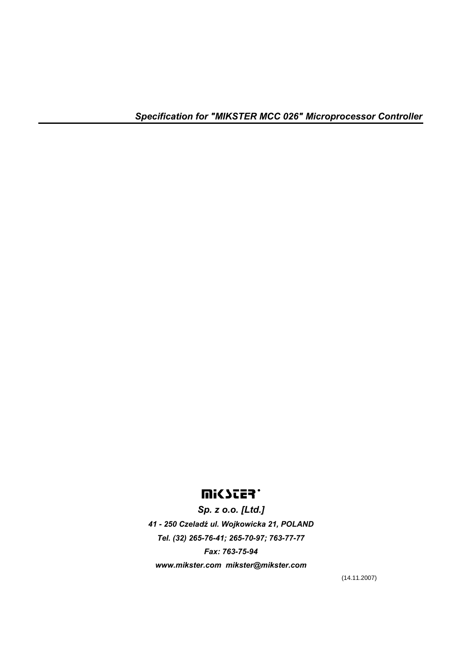# **UISSES.**

*Sp. z o.o. [Ltd.] 41 - 250 Czeladź ul. Wojkowicka 21, POLAND Tel. (32) 265-76-41; 265-70-97; 763-77-77 Fax: 763-75-94 www.mikster.com mikster@mikster.com* 

(14.11.2007)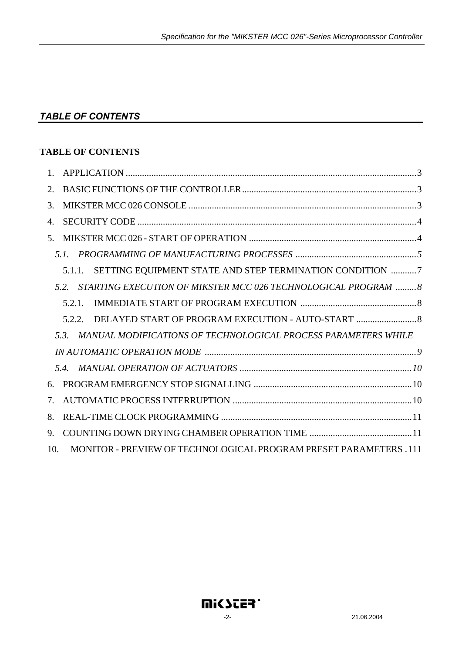# *TABLE OF CONTENTS*

### **TABLE OF CONTENTS**

| $\mathbf{1}$ .                        |                                                                        |
|---------------------------------------|------------------------------------------------------------------------|
| 2.                                    |                                                                        |
| 3.                                    |                                                                        |
| 4.                                    |                                                                        |
| 5.                                    |                                                                        |
|                                       | 5.1                                                                    |
|                                       | SETTING EQUIPMENT STATE AND STEP TERMINATION CONDITION 7<br>5.1.1.     |
|                                       | STARTING EXECUTION OF MIKSTER MCC 026 TECHNOLOGICAL PROGRAM  8<br>52   |
|                                       | 5.2.1.                                                                 |
|                                       | 5.2.2                                                                  |
|                                       | MANUAL MODIFICATIONS OF TECHNOLOGICAL PROCESS PARAMETERS WHILE<br>5.3. |
|                                       |                                                                        |
|                                       |                                                                        |
| 6.                                    |                                                                        |
| $7_{\scriptscriptstyle{\ddot{\sim}}}$ |                                                                        |
| 8.                                    |                                                                        |
| 9.                                    |                                                                        |
| 10.                                   | MONITOR - PREVIEW OF TECHNOLOGICAL PROGRAM PRESET PARAMETERS .111      |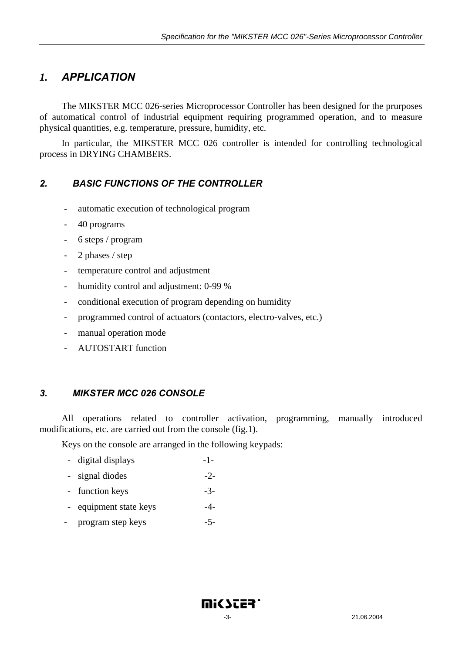# *1. APPLICATION*

The MIKSTER MCC 026-series Microprocessor Controller has been designed for the prurposes of automatical control of industrial equipment requiring programmed operation, and to measure physical quantities, e.g. temperature, pressure, humidity, etc.

In particular, the MIKSTER MCC 026 controller is intended for controlling technological process in DRYING CHAMBERS.

### *2. BASIC FUNCTIONS OF THE CONTROLLER*

- automatic execution of technological program
- 40 programs
- 6 steps / program
- 2 phases / step
- temperature control and adjustment
- humidity control and adjustment: 0-99 %
- conditional execution of program depending on humidity
- programmed control of actuators (contactors, electro-valves, etc.)
- manual operation mode
- AUTOSTART function

#### *3. MIKSTER MCC 026 CONSOLE*

All operations related to controller activation, programming, manually introduced modifications, etc. are carried out from the console (fig.1).

Keys on the console are arranged in the following keypads:

- digital displays -1-
- signal diodes  $-2$ -
- function keys -3-
- equipment state keys  $-4$ -
- program step keys -5-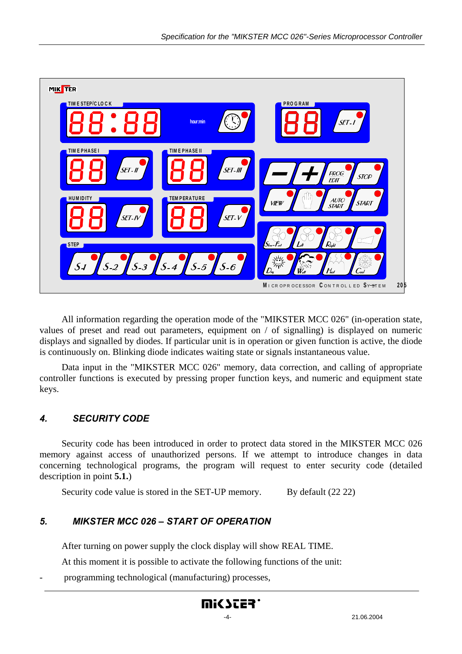

All information regarding the operation mode of the "MIKSTER MCC 026" (in-operation state, values of preset and read out parameters, equipment on / of signalling) is displayed on numeric displays and signalled by diodes. If particular unit is in operation or given function is active, the diode is continuously on. Blinking diode indicates waiting state or signals instantaneous value.

Data input in the "MIKSTER MCC 026" memory, data correction, and calling of appropriate controller functions is executed by pressing proper function keys, and numeric and equipment state keys.

### *4. SECURITY CODE*

Security code has been introduced in order to protect data stored in the MIKSTER MCC 026 memory against access of unauthorized persons. If we attempt to introduce changes in data concerning technological programs, the program will request to enter security code (detailed description in point **5.1.**)

Security code value is stored in the SET-UP memory. By default (22 22)

#### *5. MIKSTER MCC 026 – START OF OPERATION*

After turning on power supply the clock display will show REAL TIME.

At this moment it is possible to activate the following functions of the unit:

- programming technological (manufacturing) processes,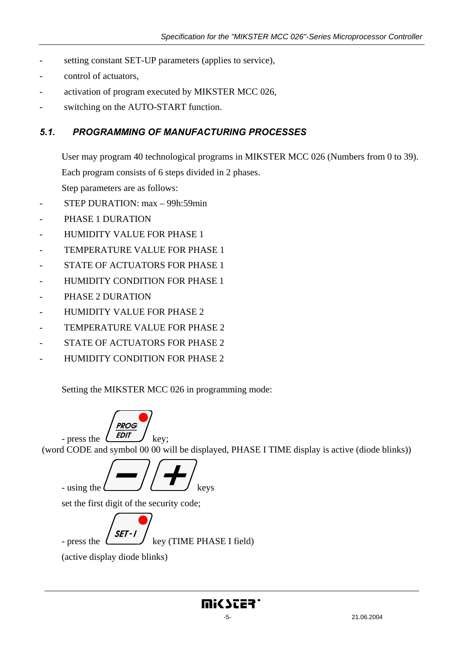- setting constant SET-UP parameters (applies to service),
- control of actuators.
- activation of program executed by MIKSTER MCC 026,
- switching on the AUTO-START function.

#### *5.1. PROGRAMMING OF MANUFACTURING PROCESSES*

User may program 40 technological programs in MIKSTER MCC 026 (Numbers from 0 to 39). Each program consists of 6 steps divided in 2 phases.

Step parameters are as follows:

- STEP DURATION: max 99h:59min
- PHASE 1 DURATION
- HUMIDITY VALUE FOR PHASE 1
- TEMPERATURE VALUE FOR PHASE 1
- STATE OF ACTUATORS FOR PHASE 1
- HUMIDITY CONDITION FOR PHASE 1
- PHASE 2 DURATION
- HUMIDITY VALUE FOR PHASE 2
- TEMPERATURE VALUE FOR PHASE 2
- STATE OF ACTUATORS FOR PHASE 2
- HUMIDITY CONDITION FOR PHASE 2

Setting the MIKSTER MCC 026 in programming mode:

**PROG** - press the  $\left(\begin{array}{c} EDI \\ EVI \end{array}\right)$  key; (word CODE and symbol 00 00 will be displayed, PHASE I TIME display is active (diode blinks)) - using the  $\left(\frac{\cdot}{\cdot}\right)^{k}$  keys set the first digit of the security code;  $SET - I$ - press the  $\left(\frac{1}{2} + \frac{1}{2} + \frac{1}{2} + \frac{1}{2} + \frac{1}{2} + \frac{1}{2} + \frac{1}{2} + \frac{1}{2} + \frac{1}{2} + \frac{1}{2} + \frac{1}{2} + \frac{1}{2} + \frac{1}{2} + \frac{1}{2} + \frac{1}{2} + \frac{1}{2} + \frac{1}{2} + \frac{1}{2} + \frac{1}{2} + \frac{1}{2} + \frac{1}{2} + \frac{1}{2} + \frac{1}{2} + \frac{1}{2} + \frac{1}{2} + \frac{1}{2$ (active display diode blinks)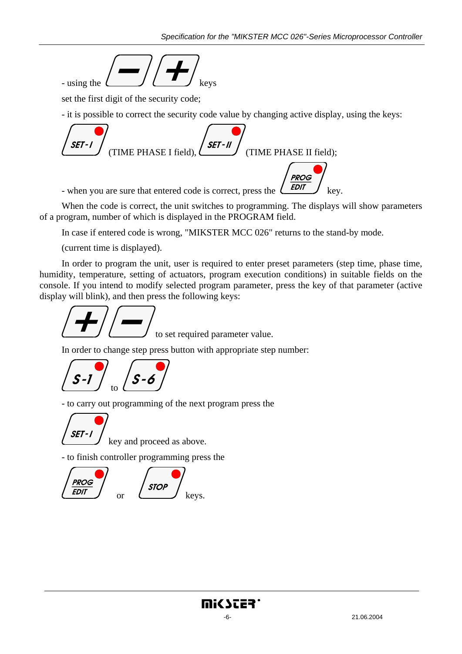

set the first digit of the security code;

- it is possible to correct the security code value by changing active display, using the keys:



When the code is correct, the unit switches to programming. The displays will show parameters of a program, number of which is displayed in the PROGRAM field.

In case if entered code is wrong, "MIKSTER MCC 026" returns to the stand-by mode.

(current time is displayed).

In order to program the unit, user is required to enter preset parameters (step time, phase time, humidity, temperature, setting of actuators, program execution conditions) in suitable fields on the console. If you intend to modify selected program parameter, press the key of that parameter (active display will blink), and then press the following keys:



In order to change step press button with appropriate step number:



- to carry out programming of the next program press the

SET-

key and proceed as above.

- to finish controller programming press the

$$
\begin{array}{|c|c|}\n\hline\n\text{PROG} & & \text{STOP} \\
\hline\n\text{EDIT} & & \text{or} \\
\hline\n\end{array}
$$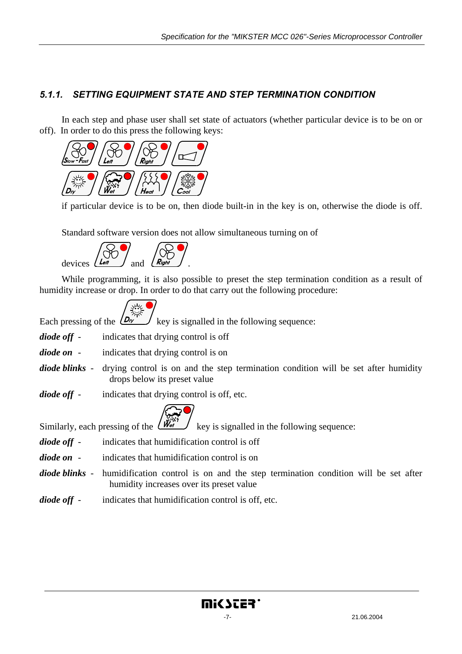### *5.1.1. SETTING EQUIPMENT STATE AND STEP TERMINATION CONDITION*

In each step and phase user shall set state of actuators (whether particular device is to be on or off). In order to do this press the following keys:



if particular device is to be on, then diode built-in in the key is on, otherwise the diode is off.

Standard software version does not allow simultaneous turning on of



While programming, it is also possible to preset the step termination condition as a result of humidity increase or drop. In order to do that carry out the following procedure:

$$
\int_{\mathcal{D}_{\alpha}}\frac{d\mu}{dx} dx
$$

Each pressing of the  $(D_{\nu})$  key is signalled in the following sequence:

- *diode off* indicates that drying control is off
- *diode on* indicates that drying control is on
- *diode blinks* drying control is on and the step termination condition will be set after humidity drops below its preset value
- *diode off* indicates that drying control is off, etc.



Similarly, each pressing of the  $\left(\mathbf{W}_{\mathbf{e}}^{\mathbf{w}}\right)$  key is signalled in the following sequence:

- *diode off* indicates that humidification control is off
- *diode on* indicates that humidification control is on
- *diode blinks*  humidification control is on and the step termination condition will be set after humidity increases over its preset value
- *diode off* indicates that humidification control is off, etc.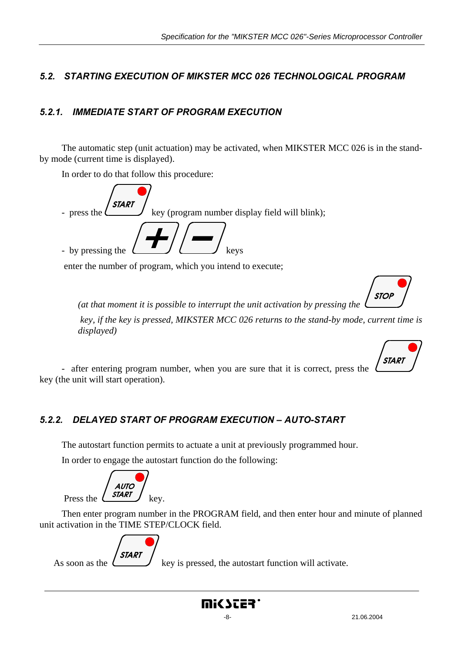### *5.2. STARTING EXECUTION OF MIKSTER MCC 026 TECHNOLOGICAL PROGRAM*

### *5.2.1. IMMEDIATE START OF PROGRAM EXECUTION*

The automatic step (unit actuation) may be activated, when MIKSTER MCC 026 is in the standby mode (current time is displayed).

In order to do that follow this procedure:

- press the key (program number display field will blink); - by pressing the keys

enter the number of program, which you intend to execute;



*(at that moment it is possible to interrupt the unit activation by pressing the* 

 *key, if the key is pressed, MIKSTER MCC 026 returns to the stand-by mode, current time is displayed)* 



- after entering program number, when you are sure that it is correct, press the key (the unit will start operation).

### *5.2.2. DELAYED START OF PROGRAM EXECUTION – AUTO-START*

The autostart function permits to actuate a unit at previously programmed hour.

In order to engage the autostart function do the following:

**AUTO** Press the  $\left($  **START**  $\right)$  key.

Then enter program number in the PROGRAM field, and then enter hour and minute of planned unit activation in the TIME STEP/CLOCK field.



As soon as the  $\left(\frac{\partial^2 u}{\partial x^2}\right)$  key is pressed, the autostart function will activate.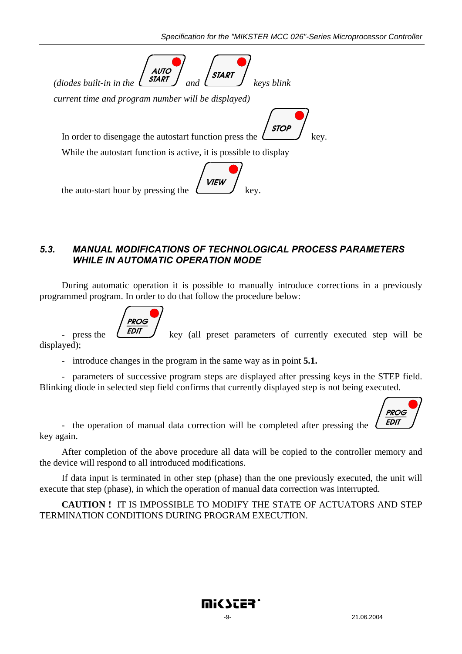

#### *5.3. MANUAL MODIFICATIONS OF TECHNOLOGICAL PROCESS PARAMETERS WHILE IN AUTOMATIC OPERATION MODE*

During automatic operation it is possible to manually introduce corrections in a previously programmed program. In order to do that follow the procedure below:



- press the  $\sqrt{EDI}$  key (all preset parameters of currently executed step will be

displayed);

- introduce changes in the program in the same way as in point **5.1.** 

- parameters of successive program steps are displayed after pressing keys in the STEP field. Blinking diode in selected step field confirms that currently displayed step is not being executed.



- the operation of manual data correction will be completed after pressing the key again.

After completion of the above procedure all data will be copied to the controller memory and the device will respond to all introduced modifications.

If data input is terminated in other step (phase) than the one previously executed, the unit will execute that step (phase), in which the operation of manual data correction was interrupted.

**CAUTION !** IT IS IMPOSSIBLE TO MODIFY THE STATE OF ACTUATORS AND STEP TERMINATION CONDITIONS DURING PROGRAM EXECUTION.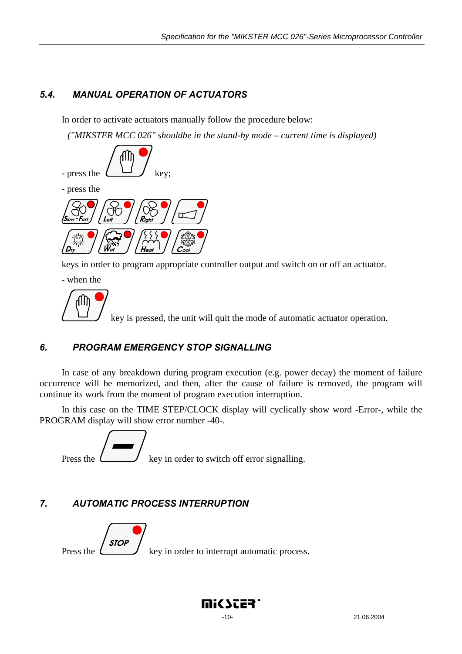# *5.4. MANUAL OPERATION OF ACTUATORS*

In order to activate actuators manually follow the procedure below:

*("MIKSTER MCC 026" shouldbe in the stand-by mode – current time is displayed)* 



keys in order to program appropriate controller output and switch on or off an actuator.

- when the

key is pressed, the unit will quit the mode of automatic actuator operation.

# *6. PROGRAM EMERGENCY STOP SIGNALLING*

In case of any breakdown during program execution (e.g. power decay) the moment of failure occurrence will be memorized, and then, after the cause of failure is removed, the program will continue its work from the moment of program execution interruption.

In this case on the TIME STEP/CLOCK display will cyclically show word -Error-, while the PROGRAM display will show error number -40-.



# *7. AUTOMATIC PROCESS INTERRUPTION*